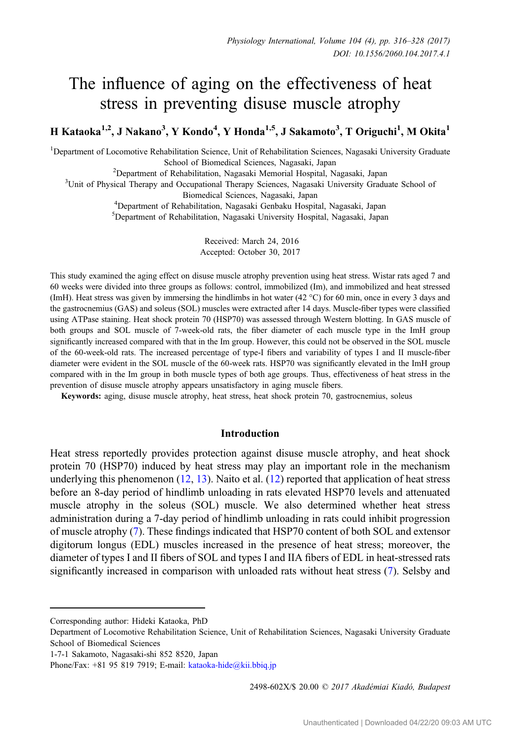# The influence of aging on the effectiveness of heat stress in preventing disuse muscle atrophy

H Kataoka<sup>1,2</sup>, J Nakano<sup>3</sup>, Y Kondo<sup>4</sup>, Y Honda<sup>1,5</sup>, J Sakamoto<sup>3</sup>, T Origuchi<sup>1</sup>, M Okita<sup>1</sup>

<sup>1</sup>Department of Locomotive Rehabilitation Science, Unit of Rehabilitation Sciences, Nagasaki University Graduate School of Biomedical Sciences, Nagasaki, Japan<br><sup>2</sup> Department of Rehabilitation, Nagasaki Memorial Hospital, N

Department of Rehabilitation, Nagasaki Memorial Hospital, Nagasaki, Japan<br><sup>3</sup>Unit of Physical Therany and Occupational Therany Sciences, Nagasaki University Gradu

<sup>3</sup>Unit of Physical Therapy and Occupational Therapy Sciences, Nagasaki University Graduate School of

Biomedical Sciences, Nagasaki, Japan <sup>4</sup> Department of Rehabilitation, Nagasaki Genbaku Hospital, Nagasaki, Japan

5 Department of Rehabilitation, Nagasaki University Hospital, Nagasaki, Japan

Received: March 24, 2016 Accepted: October 30, 2017

This study examined the aging effect on disuse muscle atrophy prevention using heat stress. Wistar rats aged 7 and 60 weeks were divided into three groups as follows: control, immobilized (Im), and immobilized and heat stressed (ImH). Heat stress was given by immersing the hindlimbs in hot water (42 °C) for 60 min, once in every 3 days and the gastrocnemius (GAS) and soleus (SOL) muscles were extracted after 14 days. Muscle-fiber types were classified using ATPase staining. Heat shock protein 70 (HSP70) was assessed through Western blotting. In GAS muscle of both groups and SOL muscle of 7-week-old rats, the fiber diameter of each muscle type in the ImH group significantly increased compared with that in the Im group. However, this could not be observed in the SOL muscle of the 60-week-old rats. The increased percentage of type-I fibers and variability of types I and II muscle-fiber diameter were evident in the SOL muscle of the 60-week rats. HSP70 was significantly elevated in the ImH group compared with in the Im group in both muscle types of both age groups. Thus, effectiveness of heat stress in the prevention of disuse muscle atrophy appears unsatisfactory in aging muscle fibers.

Keywords: aging, disuse muscle atrophy, heat stress, heat shock protein 70, gastrocnemius, soleus

## Introduction

Heat stress reportedly provides protection against disuse muscle atrophy, and heat shock protein 70 (HSP70) induced by heat stress may play an important role in the mechanism underlying this phenomenon  $(12, 13)$  $(12, 13)$  $(12, 13)$  $(12, 13)$ . Naito et al.  $(12)$  reported that application of heat stress before an 8-day period of hindlimb unloading in rats elevated HSP70 levels and attenuated muscle atrophy in the soleus (SOL) muscle. We also determined whether heat stress administration during a 7-day period of hindlimb unloading in rats could inhibit progression of muscle atrophy [\(7](#page-12-0)). These findings indicated that HSP70 content of both SOL and extensor digitorum longus (EDL) muscles increased in the presence of heat stress; moreover, the diameter of types I and II fibers of SOL and types I and IIA fibers of EDL in heat-stressed rats significantly increased in comparison with unloaded rats without heat stress ([7\)](#page-12-0). Selsby and

Corresponding author: Hideki Kataoka, PhD

2498-602X/\$ 20.00 © 2017 Akadémiai Kiadó, Budapest

Department of Locomotive Rehabilitation Science, Unit of Rehabilitation Sciences, Nagasaki University Graduate School of Biomedical Sciences

<sup>1-7-1</sup> Sakamoto, Nagasaki-shi 852 8520, Japan

Phone/Fax:  $+81$  95 819 7919; E-mail: kataoka-[hide@kii.bbiq.jp](mailto:kataoka-hide@kii.bbiq.jp)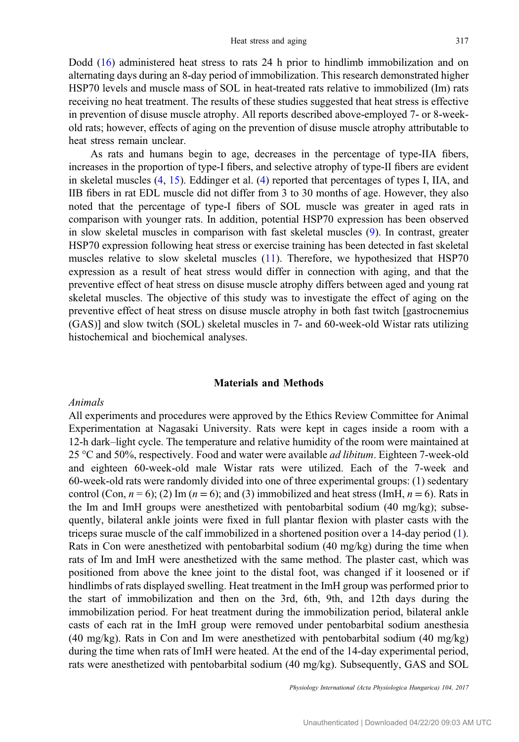Dodd [\(16](#page-12-0)) administered heat stress to rats 24 h prior to hindlimb immobilization and on alternating days during an 8-day period of immobilization. This research demonstrated higher HSP70 levels and muscle mass of SOL in heat-treated rats relative to immobilized (Im) rats receiving no heat treatment. The results of these studies suggested that heat stress is effective in prevention of disuse muscle atrophy. All reports described above-employed 7- or 8-weekold rats; however, effects of aging on the prevention of disuse muscle atrophy attributable to heat stress remain unclear.

As rats and humans begin to age, decreases in the percentage of type-IIA fibers, increases in the proportion of type-I fibers, and selective atrophy of type-II fibers are evident in skeletal muscles ([4,](#page-12-0) [15](#page-12-0)). Eddinger et al. ([4\)](#page-12-0) reported that percentages of types I, IIA, and IIB fibers in rat EDL muscle did not differ from 3 to 30 months of age. However, they also noted that the percentage of type-I fibers of SOL muscle was greater in aged rats in comparison with younger rats. In addition, potential HSP70 expression has been observed in slow skeletal muscles in comparison with fast skeletal muscles [\(9](#page-12-0)). In contrast, greater HSP70 expression following heat stress or exercise training has been detected in fast skeletal muscles relative to slow skeletal muscles [\(11](#page-12-0)). Therefore, we hypothesized that HSP70 expression as a result of heat stress would differ in connection with aging, and that the preventive effect of heat stress on disuse muscle atrophy differs between aged and young rat skeletal muscles. The objective of this study was to investigate the effect of aging on the preventive effect of heat stress on disuse muscle atrophy in both fast twitch [gastrocnemius (GAS)] and slow twitch (SOL) skeletal muscles in 7- and 60-week-old Wistar rats utilizing histochemical and biochemical analyses.

### Materials and Methods

## Animals

All experiments and procedures were approved by the Ethics Review Committee for Animal Experimentation at Nagasaki University. Rats were kept in cages inside a room with a 12-h dark–light cycle. The temperature and relative humidity of the room were maintained at 25  $\degree$ C and 50%, respectively. Food and water were available *ad libitum*. Eighteen 7-week-old and eighteen 60-week-old male Wistar rats were utilized. Each of the 7-week and 60-week-old rats were randomly divided into one of three experimental groups: (1) sedentary control (Con,  $n = 6$ ); (2) Im ( $n = 6$ ); and (3) immobilized and heat stress (ImH,  $n = 6$ ). Rats in the Im and ImH groups were anesthetized with pentobarbital sodium (40 mg/kg); subsequently, bilateral ankle joints were fixed in full plantar flexion with plaster casts with the triceps surae muscle of the calf immobilized in a shortened position over a 14-day period [\(1](#page-11-0)). Rats in Con were anesthetized with pentobarbital sodium (40 mg/kg) during the time when rats of Im and ImH were anesthetized with the same method. The plaster cast, which was positioned from above the knee joint to the distal foot, was changed if it loosened or if hindlimbs of rats displayed swelling. Heat treatment in the ImH group was performed prior to the start of immobilization and then on the 3rd, 6th, 9th, and 12th days during the immobilization period. For heat treatment during the immobilization period, bilateral ankle casts of each rat in the ImH group were removed under pentobarbital sodium anesthesia (40 mg/kg). Rats in Con and Im were anesthetized with pentobarbital sodium (40 mg/kg) during the time when rats of ImH were heated. At the end of the 14-day experimental period, rats were anesthetized with pentobarbital sodium (40 mg/kg). Subsequently, GAS and SOL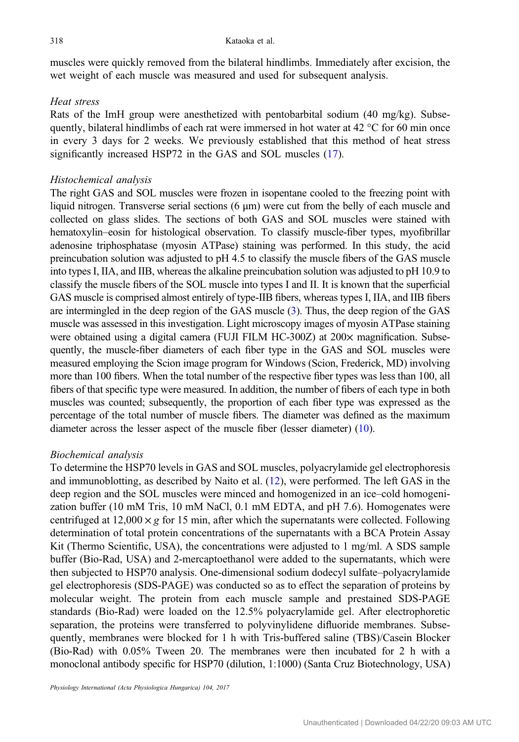muscles were quickly removed from the bilateral hindlimbs. Immediately after excision, the wet weight of each muscle was measured and used for subsequent analysis.

## Heat stress

Rats of the ImH group were anesthetized with pentobarbital sodium (40 mg/kg). Subsequently, bilateral hindlimbs of each rat were immersed in hot water at  $42 \degree C$  for 60 min once in every 3 days for 2 weeks. We previously established that this method of heat stress significantly increased HSP72 in the GAS and SOL muscles [\(17](#page-12-0)).

## Histochemical analysis

The right GAS and SOL muscles were frozen in isopentane cooled to the freezing point with liquid nitrogen. Transverse serial sections (6 μm) were cut from the belly of each muscle and collected on glass slides. The sections of both GAS and SOL muscles were stained with hematoxylin–eosin for histological observation. To classify muscle-fiber types, myofibrillar adenosine triphosphatase (myosin ATPase) staining was performed. In this study, the acid preincubation solution was adjusted to pH 4.5 to classify the muscle fibers of the GAS muscle into types I, IIA, and IIB, whereas the alkaline preincubation solution was adjusted to pH 10.9 to classify the muscle fibers of the SOL muscle into types I and II. It is known that the superficial GAS muscle is comprised almost entirely of type-IIB fibers, whereas types I, IIA, and IIB fibers are intermingled in the deep region of the GAS muscle [\(3\)](#page-11-0). Thus, the deep region of the GAS muscle was assessed in this investigation. Light microscopy images of myosin ATPase staining were obtained using a digital camera (FUJI FILM HC-300Z) at 200× magnification. Subsequently, the muscle-fiber diameters of each fiber type in the GAS and SOL muscles were measured employing the Scion image program for Windows (Scion, Frederick, MD) involving more than 100 fibers. When the total number of the respective fiber types was less than 100, all fibers of that specific type were measured. In addition, the number of fibers of each type in both muscles was counted; subsequently, the proportion of each fiber type was expressed as the percentage of the total number of muscle fibers. The diameter was defined as the maximum diameter across the lesser aspect of the muscle fiber (lesser diameter) ([10\)](#page-12-0).

## Biochemical analysis

To determine the HSP70 levels in GAS and SOL muscles, polyacrylamide gel electrophoresis and immunoblotting, as described by Naito et al. ([12\)](#page-12-0), were performed. The left GAS in the deep region and the SOL muscles were minced and homogenized in an ice–cold homogenization buffer (10 mM Tris, 10 mM NaCl, 0.1 mM EDTA, and pH 7.6). Homogenates were centrifuged at 12,000  $\times g$  for 15 min, after which the supernatants were collected. Following determination of total protein concentrations of the supernatants with a BCA Protein Assay Kit (Thermo Scientific, USA), the concentrations were adjusted to 1 mg/ml. A SDS sample buffer (Bio-Rad, USA) and 2-mercaptoethanol were added to the supernatants, which were then subjected to HSP70 analysis. One-dimensional sodium dodecyl sulfate–polyacrylamide gel electrophoresis (SDS-PAGE) was conducted so as to effect the separation of proteins by molecular weight. The protein from each muscle sample and prestained SDS-PAGE standards (Bio-Rad) were loaded on the 12.5% polyacrylamide gel. After electrophoretic separation, the proteins were transferred to polyvinylidene difluoride membranes. Subsequently, membranes were blocked for 1 h with Tris-buffered saline (TBS)/Casein Blocker (Bio-Rad) with 0.05% Tween 20. The membranes were then incubated for 2 h with a monoclonal antibody specific for HSP70 (dilution, 1:1000) (Santa Cruz Biotechnology, USA)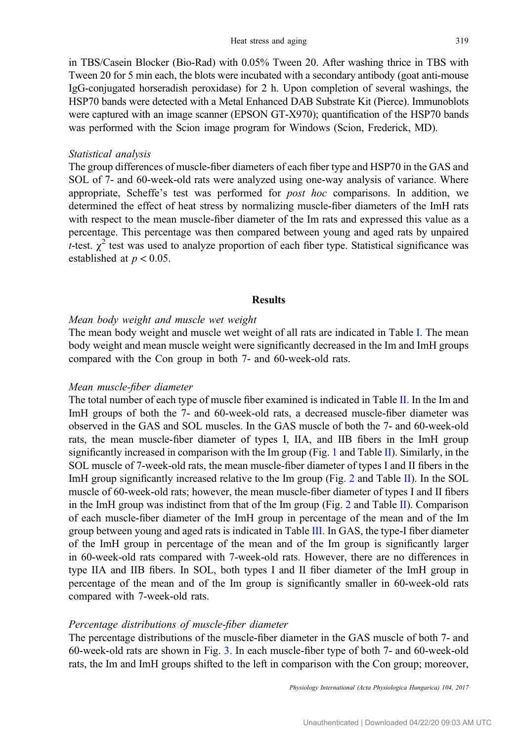in TBS/Casein Blocker (Bio-Rad) with 0.05% Tween 20. After washing thrice in TBS with Tween 20 for 5 min each, the blots were incubated with a secondary antibody (goat anti-mouse IgG-conjugated horseradish peroxidase) for 2 h. Upon completion of several washings, the HSP70 bands were detected with a Metal Enhanced DAB Substrate Kit (Pierce). Immunoblots were captured with an image scanner (EPSON GT-X970); quantification of the HSP70 bands was performed with the Scion image program for Windows (Scion, Frederick, MD).

#### Statistical analysis

The group differences of muscle-fiber diameters of each fiber type and HSP70 in the GAS and SOL of 7- and 60-week-old rats were analyzed using one-way analysis of variance. Where appropriate, Scheffe's test was performed for post hoc comparisons. In addition, we determined the effect of heat stress by normalizing muscle-fiber diameters of the ImH rats with respect to the mean muscle-fiber diameter of the Im rats and expressed this value as a percentage. This percentage was then compared between young and aged rats by unpaired t-test.  $\chi^2$  test was used to analyze proportion of each fiber type. Statistical significance was established at  $p < 0.05$ .

### Results

## Mean body weight and muscle wet weight

The mean body weight and muscle wet weight of all rats are indicated in Table [I](#page-4-0). The mean body weight and mean muscle weight were significantly decreased in the Im and ImH groups compared with the Con group in both 7- and 60-week-old rats.

#### Mean muscle-fiber diameter

The total number of each type of muscle fiber examined is indicated in Table [II](#page-5-0). In the Im and ImH groups of both the 7- and 60-week-old rats, a decreased muscle-fiber diameter was observed in the GAS and SOL muscles. In the GAS muscle of both the 7- and 60-week-old rats, the mean muscle-fiber diameter of types I, IIA, and IIB fibers in the ImH group significantly increased in comparison with the Im group (Fig. [1](#page-5-0) and Table [II](#page-5-0)). Similarly, in the SOL muscle of 7-week-old rats, the mean muscle-fiber diameter of types I and II fibers in the ImH group significantly increased relative to the Im group (Fig. [2](#page-6-0) and Table [II](#page-5-0)). In the SOL muscle of 60-week-old rats; however, the mean muscle-fiber diameter of types I and II fibers in the ImH group was indistinct from that of the Im group (Fig. [2](#page-6-0) and Table [II](#page-5-0)). Comparison of each muscle-fiber diameter of the ImH group in percentage of the mean and of the Im group between young and aged rats is indicated in Table [III.](#page-6-0) In GAS, the type-I fiber diameter of the ImH group in percentage of the mean and of the Im group is significantly larger in 60-week-old rats compared with 7-week-old rats. However, there are no differences in type IIA and IIB fibers. In SOL, both types I and II fiber diameter of the ImH group in percentage of the mean and of the Im group is significantly smaller in 60-week-old rats compared with 7-week-old rats.

#### Percentage distributions of muscle-fiber diameter

The percentage distributions of the muscle-fiber diameter in the GAS muscle of both 7- and 60-week-old rats are shown in Fig. [3.](#page-7-0) In each muscle-fiber type of both 7- and 60-week-old rats, the Im and ImH groups shifted to the left in comparison with the Con group; moreover,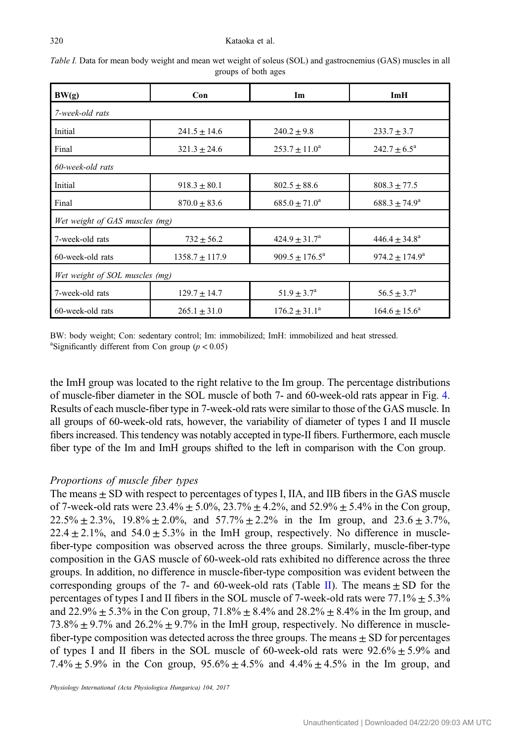#### <span id="page-4-0"></span>320 Kataoka et al.

| BW(g)                          | Con                                 | Im                        | ImH                       |  |  |  |  |
|--------------------------------|-------------------------------------|---------------------------|---------------------------|--|--|--|--|
| 7-week-old rats                |                                     |                           |                           |  |  |  |  |
| Initial                        | $241.5 \pm 14.6$<br>$240.2 \pm 9.8$ |                           | $233.7 \pm 3.7$           |  |  |  |  |
| Final                          | $321.3 \pm 24.6$                    | $253.7 \pm 11.0^a$        | $242.7 \pm 6.5^{\circ}$   |  |  |  |  |
| 60-week-old rats               |                                     |                           |                           |  |  |  |  |
| Initial                        | $918.3 \pm 80.1$                    | $802.5 \pm 88.6$          | $808.3 \pm 77.5$          |  |  |  |  |
| Final                          | $870.0 \pm 83.6$                    | $685.0 \pm 71.0^a$        | $688.3 \pm 74.9^{\circ}$  |  |  |  |  |
| Wet weight of GAS muscles (mg) |                                     |                           |                           |  |  |  |  |
| 7-week-old rats                | $732 \pm 56.2$                      | $424.9 \pm 31.7^{\circ}$  | $446.4 \pm 34.8^{\circ}$  |  |  |  |  |
| 60-week-old rats               | $1358.7 \pm 117.9$                  | $909.5 \pm 176.5^{\circ}$ | $974.2 \pm 174.9^{\circ}$ |  |  |  |  |
| Wet weight of SOL muscles (mg) |                                     |                           |                           |  |  |  |  |
| 7-week-old rats                | $129.7 \pm 14.7$                    | $51.9 \pm 3.7^{\rm a}$    | $56.5 \pm 3.7^{\rm a}$    |  |  |  |  |
| 60-week-old rats               | $265.1 \pm 31.0$                    | $176.2 \pm 31.1^a$        | $164.6 \pm 15.6^a$        |  |  |  |  |

Table I. Data for mean body weight and mean wet weight of soleus (SOL) and gastrocnemius (GAS) muscles in all groups of both ages

BW: body weight; Con: sedentary control; Im: immobilized; ImH: immobilized and heat stressed. <sup>a</sup>Significantly different from Con group ( $p < 0.05$ )

the ImH group was located to the right relative to the Im group. The percentage distributions of muscle-fiber diameter in the SOL muscle of both 7- and 60-week-old rats appear in Fig. [4.](#page-8-0) Results of each muscle-fiber type in 7-week-old rats were similar to those of the GAS muscle. In all groups of 60-week-old rats, however, the variability of diameter of types I and II muscle fibers increased. This tendency was notably accepted in type-II fibers. Furthermore, each muscle fiber type of the Im and ImH groups shifted to the left in comparison with the Con group.

# Proportions of muscle fiber types

The means  $\pm$  SD with respect to percentages of types I, IIA, and IIB fibers in the GAS muscle of 7-week-old rats were  $23.4\% \pm 5.0\%$ ,  $23.7\% \pm 4.2\%$ , and  $52.9\% \pm 5.4\%$  in the Con group,  $22.5\% \pm 2.3\%$ ,  $19.8\% \pm 2.0\%$ , and  $57.7\% \pm 2.2\%$  in the Im group, and  $23.6 \pm 3.7\%$ , 22.4  $\pm$  2.1%, and 54.0  $\pm$  5.3% in the ImH group, respectively. No difference in musclefiber-type composition was observed across the three groups. Similarly, muscle-fiber-type composition in the GAS muscle of 60-week-old rats exhibited no difference across the three groups. In addition, no difference in muscle-fiber-type composition was evident between the corresponding groups of the 7- and 60-week-old rats (Table [II](#page-5-0)). The means  $\pm$  SD for the percentages of types I and II fibers in the SOL muscle of 7-week-old rats were  $77.1\% \pm 5.3\%$ and 22.9%  $\pm$  5.3% in the Con group, 71.8%  $\pm$  8.4% and 28.2%  $\pm$  8.4% in the Im group, and 73.8%  $\pm$  9.7% and 26.2%  $\pm$  9.7% in the ImH group, respectively. No difference in musclefiber-type composition was detected across the three groups. The means  $\pm$  SD for percentages of types I and II fibers in the SOL muscle of 60-week-old rats were  $92.6\% \pm 5.9\%$  and 7.4%  $\pm$  5.9% in the Con group, 95.6%  $\pm$  4.5% and 4.4%  $\pm$  4.5% in the Im group, and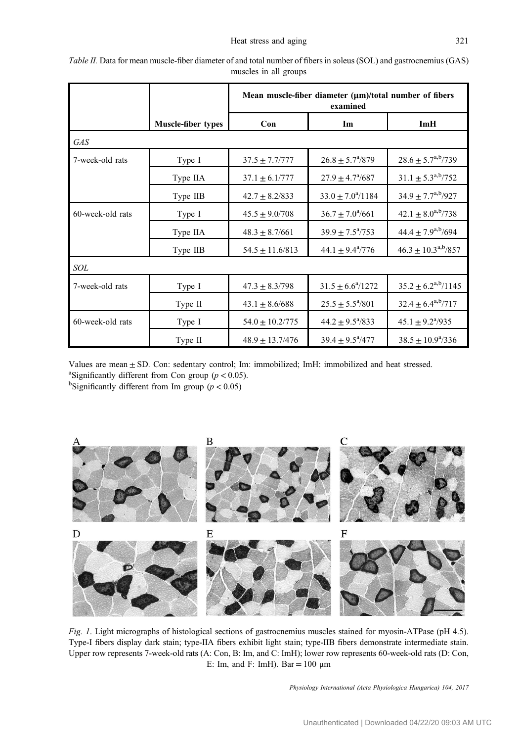|                  |                    | Mean muscle-fiber diameter $(\mu m)/\tau$ hotal number of fibers<br>examined |                             |                                         |  |  |  |
|------------------|--------------------|------------------------------------------------------------------------------|-----------------------------|-----------------------------------------|--|--|--|
|                  | Muscle-fiber types | Con                                                                          | Im                          | ImH                                     |  |  |  |
| <b>GAS</b>       |                    |                                                                              |                             |                                         |  |  |  |
| 7-week-old rats  | Type I             | $37.5 \pm 7.7/777$                                                           | $26.8 \pm 5.7^{\circ}/879$  | $28.6 \pm 5.7^{a,b} / 739$              |  |  |  |
|                  | Type IIA           | $37.1 \pm 6.1/777$                                                           | $27.9 \pm 4.7^{\circ}/687$  | $31.1 \pm 5.3^{a,b} / 752$              |  |  |  |
|                  | Type IIB           | $42.7 \pm 8.2/833$                                                           | $33.0 \pm 7.0^{\circ}/1184$ | $34.9 \pm 7.7^{a,b} / 927$              |  |  |  |
| 60-week-old rats | Type I             | $45.5 \pm 9.0/708$                                                           | $36.7 \pm 7.0^{\circ}/661$  | $42.1 \pm 8.0^{a,b} / 738$              |  |  |  |
|                  | Type IIA           | $48.3 \pm 8.7/661$                                                           | $39.9 \pm 7.5^{\circ}/753$  | $44.4 \pm 7.9^{a,b}/694$                |  |  |  |
|                  | Type IIB           | $54.5 \pm 11.6/813$                                                          | $44.1 \pm 9.4^{\circ}/776$  | $46.3 \pm 10.3^{\text{a},\text{b}}/857$ |  |  |  |
| SOL              |                    |                                                                              |                             |                                         |  |  |  |
| 7-week-old rats  | Type I             | $47.3 \pm 8.3/798$                                                           | $31.5 \pm 6.6^{\circ}/1272$ | $35.2 \pm 6.2^{a,b}/1145$               |  |  |  |
|                  | Type II            | $43.1 \pm 8.6/688$                                                           | $25.5 \pm 5.5^{\circ}/801$  | $32.4 \pm 6.4^{a,b}/717$                |  |  |  |
| 60-week-old rats | Type I             | $54.0 \pm 10.2/775$                                                          | $44.2 \pm 9.5^{\circ}/833$  | $45.1 \pm 9.2^{\circ}/935$              |  |  |  |
|                  | Type II            | $48.9 \pm 13.7/476$                                                          | $39.4 \pm 9.5^{\circ}/477$  | $38.5 \pm 10.9^{\circ}/336$             |  |  |  |

<span id="page-5-0"></span>Table II. Data for mean muscle-fiber diameter of and total number of fibers in soleus (SOL) and gastrocnemius (GAS) muscles in all groups

Values are mean  $\pm$  SD. Con: sedentary control; Im: immobilized; ImH: immobilized and heat stressed. <sup>a</sup>Significantly different from Con group ( $p < 0.05$ ).

<sup>b</sup>Significantly different from Im group ( $p < 0.05$ )



Fig. 1. Light micrographs of histological sections of gastrocnemius muscles stained for myosin-ATPase (pH 4.5). Type-I fibers display dark stain; type-IIA fibers exhibit light stain; type-IIB fibers demonstrate intermediate stain. Upper row represents 7-week-old rats (A: Con, B: Im, and C: ImH); lower row represents 60-week-old rats (D: Con, E: Im, and F: ImH). Bar =  $100 \mu$ m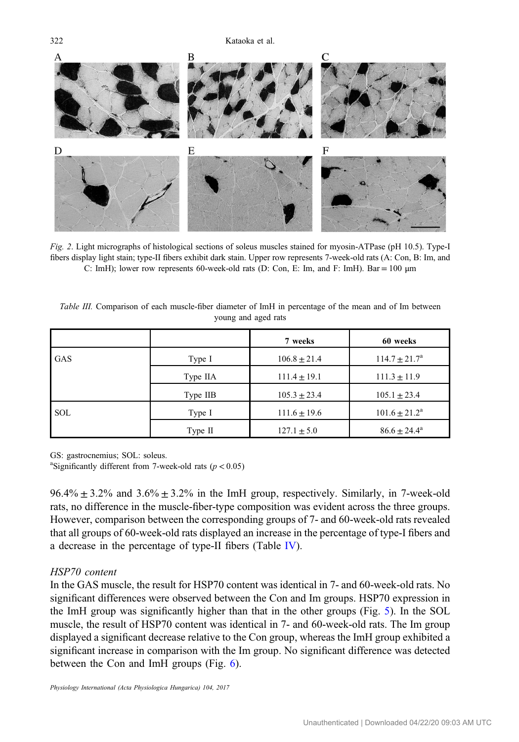<span id="page-6-0"></span> $\Delta$ E  $\overline{F}$ 

Fig. 2. Light micrographs of histological sections of soleus muscles stained for myosin-ATPase (pH 10.5). Type-I fibers display light stain; type-II fibers exhibit dark stain. Upper row represents 7-week-old rats (A: Con, B: Im, and C: ImH); lower row represents 60-week-old rats (D: Con, E: Im, and F: ImH). Bar = 100  $\mu$ m

|            |          | 7 weeks          | 60 weeks                 |
|------------|----------|------------------|--------------------------|
| <b>GAS</b> | Type I   | $106.8 \pm 21.4$ | $114.7 \pm 21.7^{\rm a}$ |
|            | Type IIA | $111.4 \pm 19.1$ | $111.3 \pm 11.9$         |
|            | Type IIB | $105.3 \pm 23.4$ | $105.1 \pm 23.4$         |
| <b>SOL</b> | Type I   | $111.6 \pm 19.6$ | $101.6 \pm 21.2^a$       |
|            | Type II  | $127.1 \pm 5.0$  | $86.6 \pm 24.4^a$        |

Table III. Comparison of each muscle-fiber diameter of ImH in percentage of the mean and of Im between young and aged rats

GS: gastrocnemius; SOL: soleus.

<sup>a</sup>Significantly different from 7-week-old rats ( $p < 0.05$ )

 $96.4\% \pm 3.2\%$  and  $3.6\% \pm 3.2\%$  in the ImH group, respectively. Similarly, in 7-week-old rats, no difference in the muscle-fiber-type composition was evident across the three groups. However, comparison between the corresponding groups of 7- and 60-week-old rats revealed that all groups of 60-week-old rats displayed an increase in the percentage of type-I fibers and a decrease in the percentage of type-II fibers (Table [IV\)](#page-9-0).

## HSP70 content

In the GAS muscle, the result for HSP70 content was identical in 7- and 60-week-old rats. No significant differences were observed between the Con and Im groups. HSP70 expression in the ImH group was significantly higher than that in the other groups (Fig. [5\)](#page-10-0). In the SOL muscle, the result of HSP70 content was identical in 7- and 60-week-old rats. The Im group displayed a significant decrease relative to the Con group, whereas the ImH group exhibited a significant increase in comparison with the Im group. No significant difference was detected between the Con and ImH groups (Fig. [6\)](#page-11-0).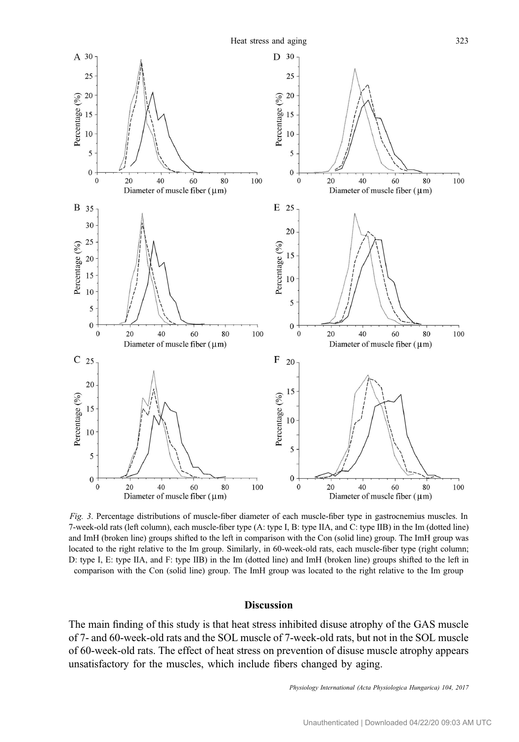Heat stress and aging 323



<span id="page-7-0"></span>

Fig. 3. Percentage distributions of muscle-fiber diameter of each muscle-fiber type in gastrocnemius muscles. In 7-week-old rats (left column), each muscle-fiber type (A: type I, B: type IIA, and C: type IIB) in the Im (dotted line) and ImH (broken line) groups shifted to the left in comparison with the Con (solid line) group. The ImH group was located to the right relative to the Im group. Similarly, in 60-week-old rats, each muscle-fiber type (right column; D: type I, E: type IIA, and F: type IIB) in the Im (dotted line) and ImH (broken line) groups shifted to the left in comparison with the Con (solid line) group. The ImH group was located to the right relative to the Im group

#### Discussion

The main finding of this study is that heat stress inhibited disuse atrophy of the GAS muscle of 7- and 60-week-old rats and the SOL muscle of 7-week-old rats, but not in the SOL muscle of 60-week-old rats. The effect of heat stress on prevention of disuse muscle atrophy appears unsatisfactory for the muscles, which include fibers changed by aging.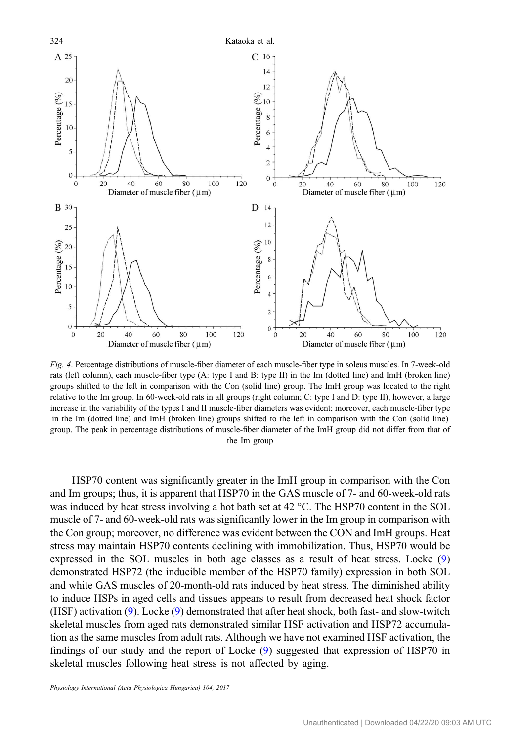<span id="page-8-0"></span>

Fig. 4. Percentage distributions of muscle-fiber diameter of each muscle-fiber type in soleus muscles. In 7-week-old rats (left column), each muscle-fiber type (A: type I and B: type II) in the Im (dotted line) and ImH (broken line) groups shifted to the left in comparison with the Con (solid line) group. The ImH group was located to the right relative to the Im group. In 60-week-old rats in all groups (right column; C: type I and D: type II), however, a large increase in the variability of the types I and II muscle-fiber diameters was evident; moreover, each muscle-fiber type in the Im (dotted line) and ImH (broken line) groups shifted to the left in comparison with the Con (solid line) group. The peak in percentage distributions of muscle-fiber diameter of the ImH group did not differ from that of the Im group

HSP70 content was significantly greater in the ImH group in comparison with the Con and Im groups; thus, it is apparent that HSP70 in the GAS muscle of 7- and 60-week-old rats was induced by heat stress involving a hot bath set at 42 °C. The HSP70 content in the SOL muscle of 7- and 60-week-old rats was significantly lower in the Im group in comparison with the Con group; moreover, no difference was evident between the CON and ImH groups. Heat stress may maintain HSP70 contents declining with immobilization. Thus, HSP70 would be expressed in the SOL muscles in both age classes as a result of heat stress. Locke ([9\)](#page-12-0) demonstrated HSP72 (the inducible member of the HSP70 family) expression in both SOL and white GAS muscles of 20-month-old rats induced by heat stress. The diminished ability to induce HSPs in aged cells and tissues appears to result from decreased heat shock factor (HSF) activation [\(9](#page-12-0)). Locke [\(9](#page-12-0)) demonstrated that after heat shock, both fast- and slow-twitch skeletal muscles from aged rats demonstrated similar HSF activation and HSP72 accumulation as the same muscles from adult rats. Although we have not examined HSF activation, the findings of our study and the report of Locke [\(9\)](#page-12-0) suggested that expression of HSP70 in skeletal muscles following heat stress is not affected by aging.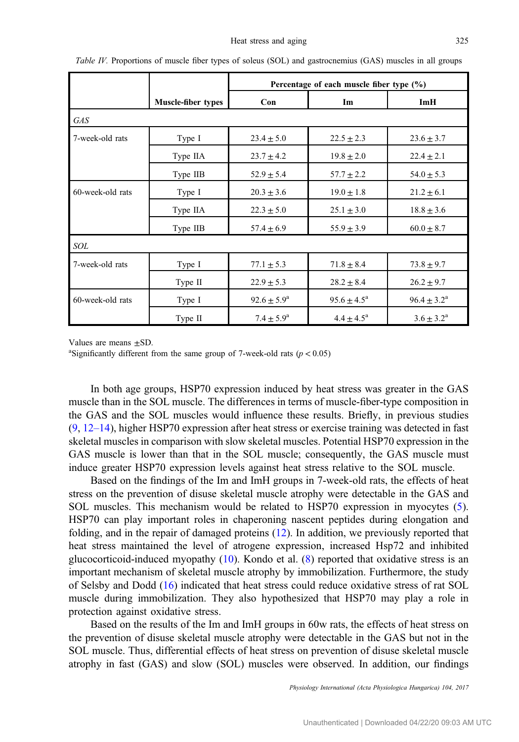|                  |                           | Percentage of each muscle fiber type $(\% )$ |                        |                        |  |  |  |
|------------------|---------------------------|----------------------------------------------|------------------------|------------------------|--|--|--|
|                  | <b>Muscle-fiber types</b> | Con                                          | Im                     | ImH                    |  |  |  |
| <b>GAS</b>       |                           |                                              |                        |                        |  |  |  |
| 7-week-old rats  | Type I                    | $23.4 \pm 5.0$                               | $22.5 \pm 2.3$         | $23.6 \pm 3.7$         |  |  |  |
|                  | Type IIA                  | $23.7 \pm 4.2$                               | $19.8 \pm 2.0$         | $22.4 \pm 2.1$         |  |  |  |
|                  | Type IIB                  | $52.9 \pm 5.4$                               | $57.7 \pm 2.2$         | $54.0 \pm 5.3$         |  |  |  |
| 60-week-old rats | Type I                    | $20.3 \pm 3.6$                               | $19.0 \pm 1.8$         | $21.2 \pm 6.1$         |  |  |  |
|                  | Type IIA                  | $22.3 \pm 5.0$                               | $25.1 \pm 3.0$         | $18.8 \pm 3.6$         |  |  |  |
|                  | Type IIB                  | $57.4 \pm 6.9$                               | $55.9 \pm 3.9$         | $60.0 \pm 8.7$         |  |  |  |
| <b>SOL</b>       |                           |                                              |                        |                        |  |  |  |
| 7-week-old rats  | Type I                    | $77.1 \pm 5.3$                               | $71.8 \pm 8.4$         | $73.8 \pm 9.7$         |  |  |  |
|                  | Type II                   | $22.9 \pm 5.3$                               | $28.2 \pm 8.4$         | $26.2 \pm 9.7$         |  |  |  |
| 60-week-old rats | Type I                    | $92.6 \pm 5.9^{\rm a}$                       | $95.6 \pm 4.5^{\circ}$ | $96.4 \pm 3.2^{\rm a}$ |  |  |  |
|                  | Type II                   | $7.4 \pm 5.9^{\rm a}$                        | $4.4 \pm 4.5^{\circ}$  | $3.6 \pm 3.2^{\circ}$  |  |  |  |

<span id="page-9-0"></span>Table IV. Proportions of muscle fiber types of soleus (SOL) and gastrocnemius (GAS) muscles in all groups

Values are means  $\pm$ SD.

<sup>a</sup>Significantly different from the same group of 7-week-old rats ( $p < 0.05$ )

In both age groups, HSP70 expression induced by heat stress was greater in the GAS muscle than in the SOL muscle. The differences in terms of muscle-fiber-type composition in the GAS and the SOL muscles would influence these results. Briefly, in previous studies  $(9, 12-14)$  $(9, 12-14)$  $(9, 12-14)$  $(9, 12-14)$ , higher HSP70 expression after heat stress or exercise training was detected in fast skeletal muscles in comparison with slow skeletal muscles. Potential HSP70 expression in the GAS muscle is lower than that in the SOL muscle; consequently, the GAS muscle must induce greater HSP70 expression levels against heat stress relative to the SOL muscle.

Based on the findings of the Im and ImH groups in 7-week-old rats, the effects of heat stress on the prevention of disuse skeletal muscle atrophy were detectable in the GAS and SOL muscles. This mechanism would be related to HSP70 expression in myocytes [\(5](#page-12-0)). HSP70 can play important roles in chaperoning nascent peptides during elongation and folding, and in the repair of damaged proteins ([12\)](#page-12-0). In addition, we previously reported that heat stress maintained the level of atrogene expression, increased Hsp72 and inhibited glucocorticoid-induced myopathy  $(10)$  $(10)$ . Kondo et al.  $(8)$  $(8)$  reported that oxidative stress is an important mechanism of skeletal muscle atrophy by immobilization. Furthermore, the study of Selsby and Dodd ([16\)](#page-12-0) indicated that heat stress could reduce oxidative stress of rat SOL muscle during immobilization. They also hypothesized that HSP70 may play a role in protection against oxidative stress.

Based on the results of the Im and ImH groups in 60w rats, the effects of heat stress on the prevention of disuse skeletal muscle atrophy were detectable in the GAS but not in the SOL muscle. Thus, differential effects of heat stress on prevention of disuse skeletal muscle atrophy in fast (GAS) and slow (SOL) muscles were observed. In addition, our findings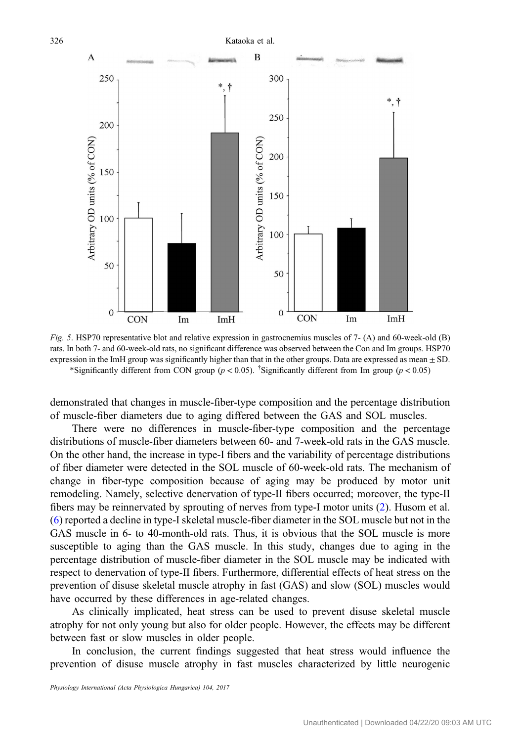



Fig. 5. HSP70 representative blot and relative expression in gastrocnemius muscles of 7- (A) and 60-week-old (B) rats. In both 7- and 60-week-old rats, no significant difference was observed between the Con and Im groups. HSP70 expression in the ImH group was significantly higher than that in the other groups. Data are expressed as mean  $\pm$  SD. \*Significantly different from CON group ( $p < 0.05$ ). <sup>†</sup>Significantly different from Im group ( $p < 0.05$ )

demonstrated that changes in muscle-fiber-type composition and the percentage distribution of muscle-fiber diameters due to aging differed between the GAS and SOL muscles.

There were no differences in muscle-fiber-type composition and the percentage distributions of muscle-fiber diameters between 60- and 7-week-old rats in the GAS muscle. On the other hand, the increase in type-I fibers and the variability of percentage distributions of fiber diameter were detected in the SOL muscle of 60-week-old rats. The mechanism of change in fiber-type composition because of aging may be produced by motor unit remodeling. Namely, selective denervation of type-II fibers occurred; moreover, the type-II fibers may be reinnervated by sprouting of nerves from type-I motor units [\(2](#page-11-0)). Husom et al. [\(6](#page-12-0)) reported a decline in type-I skeletal muscle-fiber diameter in the SOL muscle but not in the GAS muscle in 6- to 40-month-old rats. Thus, it is obvious that the SOL muscle is more susceptible to aging than the GAS muscle. In this study, changes due to aging in the percentage distribution of muscle-fiber diameter in the SOL muscle may be indicated with respect to denervation of type-II fibers. Furthermore, differential effects of heat stress on the prevention of disuse skeletal muscle atrophy in fast (GAS) and slow (SOL) muscles would have occurred by these differences in age-related changes.

As clinically implicated, heat stress can be used to prevent disuse skeletal muscle atrophy for not only young but also for older people. However, the effects may be different between fast or slow muscles in older people.

In conclusion, the current findings suggested that heat stress would influence the prevention of disuse muscle atrophy in fast muscles characterized by little neurogenic

\* +

<span id="page-10-0"></span> $\overline{A}$ 

250

200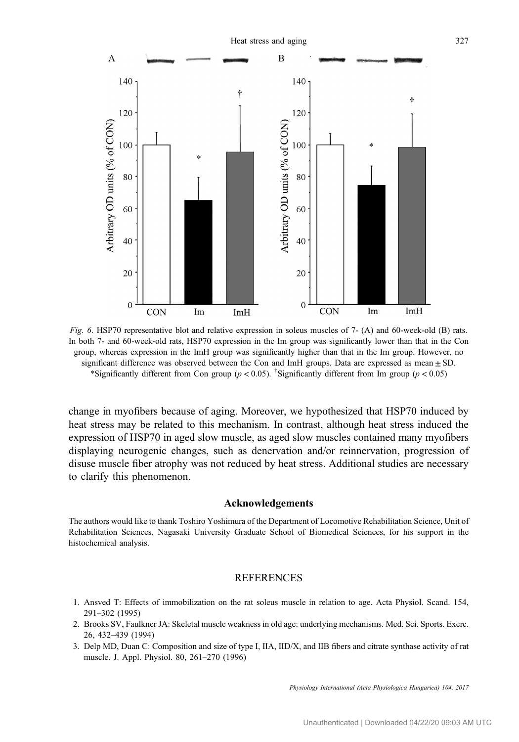<span id="page-11-0"></span>

Fig. 6. HSP70 representative blot and relative expression in soleus muscles of 7- (A) and 60-week-old (B) rats. In both 7- and 60-week-old rats, HSP70 expression in the Im group was significantly lower than that in the Con group, whereas expression in the ImH group was significantly higher than that in the Im group. However, no significant difference was observed between the Con and ImH groups. Data are expressed as mean  $\pm$  SD. \*Significantly different from Con group ( $p < 0.05$ ). <sup>†</sup>Significantly different from Im group ( $p < 0.05$ )

change in myofibers because of aging. Moreover, we hypothesized that HSP70 induced by heat stress may be related to this mechanism. In contrast, although heat stress induced the expression of HSP70 in aged slow muscle, as aged slow muscles contained many myofibers displaying neurogenic changes, such as denervation and/or reinnervation, progression of disuse muscle fiber atrophy was not reduced by heat stress. Additional studies are necessary to clarify this phenomenon.

#### Acknowledgements

The authors would like to thank Toshiro Yoshimura of the Department of Locomotive Rehabilitation Science, Unit of Rehabilitation Sciences, Nagasaki University Graduate School of Biomedical Sciences, for his support in the histochemical analysis.

#### REFERENCES

- 1. Ansved T: Effects of immobilization on the rat soleus muscle in relation to age. Acta Physiol. Scand. 154, 291–302 (1995)
- 2. Brooks SV, Faulkner JA: Skeletal muscle weakness in old age: underlying mechanisms. Med. Sci. Sports. Exerc. 26, 432–439 (1994)
- 3. Delp MD, Duan C: Composition and size of type I, IIA, IID/X, and IIB fibers and citrate synthase activity of rat muscle. J. Appl. Physiol. 80, 261–270 (1996)